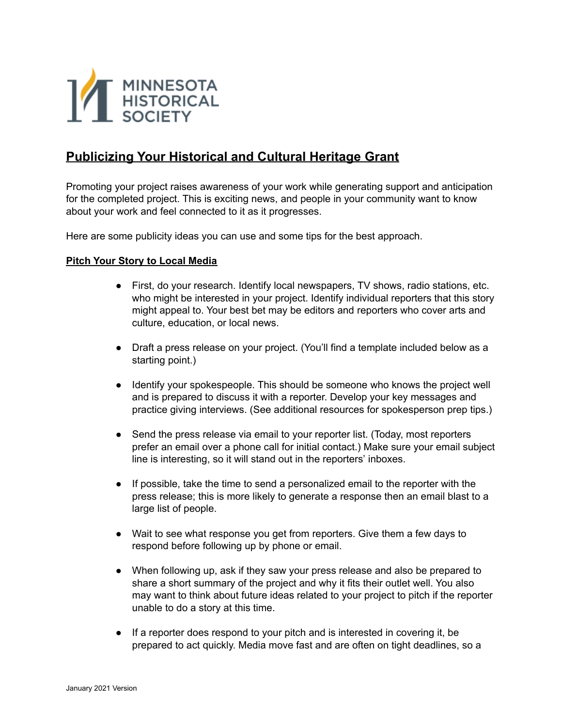

# **Publicizing Your Historical and Cultural Heritage Grant**

Promoting your project raises awareness of your work while generating support and anticipation for the completed project. This is exciting news, and people in your community want to know about your work and feel connected to it as it progresses.

Here are some publicity ideas you can use and some tips for the best approach.

#### **Pitch Your Story to Local Media**

- First, do your research. Identify local newspapers, TV shows, radio stations, etc. who might be interested in your project. Identify individual reporters that this story might appeal to. Your best bet may be editors and reporters who cover arts and culture, education, or local news.
- Draft a press release on your project. (You'll find a template included below as a starting point.)
- Identify your spokespeople. This should be someone who knows the project well and is prepared to discuss it with a reporter. Develop your key messages and practice giving interviews. (See additional resources for spokesperson prep tips.)
- Send the press release via email to your reporter list. (Today, most reporters prefer an email over a phone call for initial contact.) Make sure your email subject line is interesting, so it will stand out in the reporters' inboxes.
- If possible, take the time to send a personalized email to the reporter with the press release; this is more likely to generate a response then an email blast to a large list of people.
- Wait to see what response you get from reporters. Give them a few days to respond before following up by phone or email.
- When following up, ask if they saw your press release and also be prepared to share a short summary of the project and why it fits their outlet well. You also may want to think about future ideas related to your project to pitch if the reporter unable to do a story at this time.
- If a reporter does respond to your pitch and is interested in covering it, be prepared to act quickly. Media move fast and are often on tight deadlines, so a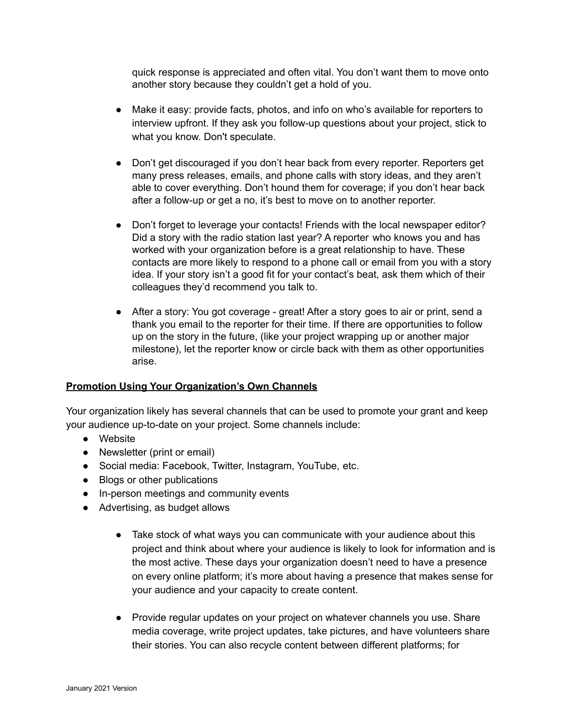quick response is appreciated and often vital. You don't want them to move onto another story because they couldn't get a hold of you.

- Make it easy: provide facts, photos, and info on who's available for reporters to interview upfront. If they ask you follow-up questions about your project, stick to what you know. Don't speculate.
- Don't get discouraged if you don't hear back from every reporter. Reporters get many press releases, emails, and phone calls with story ideas, and they aren't able to cover everything. Don't hound them for coverage; if you don't hear back after a follow-up or get a no, it's best to move on to another reporter.
- Don't forget to leverage your contacts! Friends with the local newspaper editor? Did a story with the radio station last year? A reporter who knows you and has worked with your organization before is a great relationship to have. These contacts are more likely to respond to a phone call or email from you with a story idea. If your story isn't a good fit for your contact's beat, ask them which of their colleagues they'd recommend you talk to.
- After a story: You got coverage great! After a story goes to air or print, send a thank you email to the reporter for their time. If there are opportunities to follow up on the story in the future, (like your project wrapping up or another major milestone), let the reporter know or circle back with them as other opportunities arise.

#### **Promotion Using Your Organization's Own Channels**

Your organization likely has several channels that can be used to promote your grant and keep your audience up-to-date on your project. Some channels include:

- Website
- Newsletter (print or email)
- Social media: Facebook, Twitter, Instagram, YouTube, etc.
- Blogs or other publications
- In-person meetings and community events
- Advertising, as budget allows
	- Take stock of what ways you can communicate with your audience about this project and think about where your audience is likely to look for information and is the most active. These days your organization doesn't need to have a presence on every online platform; it's more about having a presence that makes sense for your audience and your capacity to create content.
	- Provide regular updates on your project on whatever channels you use. Share media coverage, write project updates, take pictures, and have volunteers share their stories. You can also recycle content between different platforms; for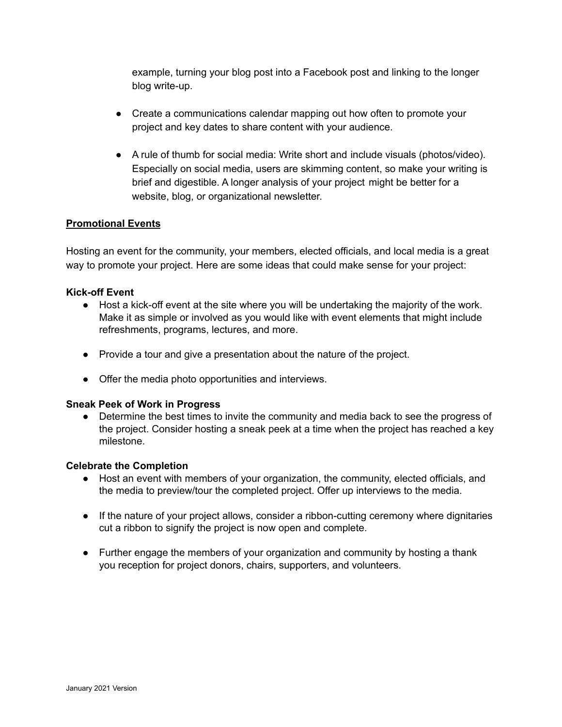example, turning your blog post into a Facebook post and linking to the longer blog write-up.

- Create a communications calendar mapping out how often to promote your project and key dates to share content with your audience.
- A rule of thumb for social media: Write short and include visuals (photos/video). Especially on social media, users are skimming content, so make your writing is brief and digestible. A longer analysis of your project might be better for a website, blog, or organizational newsletter.

#### **Promotional Events**

Hosting an event for the community, your members, elected officials, and local media is a great way to promote your project. Here are some ideas that could make sense for your project:

#### **Kick-off Event**

- Host a kick-off event at the site where you will be undertaking the majority of the work. Make it as simple or involved as you would like with event elements that might include refreshments, programs, lectures, and more.
- Provide a tour and give a presentation about the nature of the project.
- Offer the media photo opportunities and interviews.

#### **Sneak Peek of Work in Progress**

• Determine the best times to invite the community and media back to see the progress of the project. Consider hosting a sneak peek at a time when the project has reached a key milestone.

#### **Celebrate the Completion**

- Host an event with members of your organization, the community, elected officials, and the media to preview/tour the completed project. Offer up interviews to the media.
- If the nature of your project allows, consider a ribbon-cutting ceremony where dignitaries cut a ribbon to signify the project is now open and complete.
- Further engage the members of your organization and community by hosting a thank you reception for project donors, chairs, supporters, and volunteers.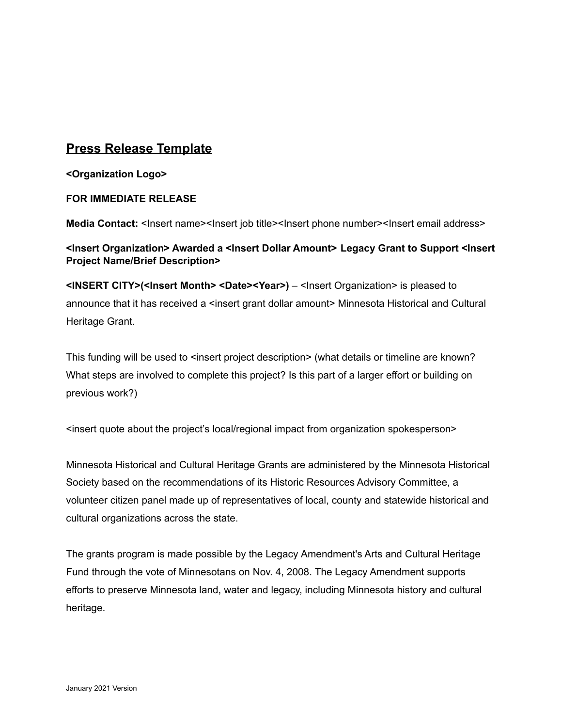# **Press Release Template**

**<Organization Logo>**

#### **FOR IMMEDIATE RELEASE**

**Media Contact:** <Insert name><Insert job title><Insert phone number><Insert email address>

### **<Insert Organization> Awarded a <Insert Dollar Amount> Legacy Grant to Support <Insert Project Name/Brief Description>**

**<INSERT CITY>(<Insert Month> <Date><Year>)** – <Insert Organization> is pleased to announce that it has received a <insert grant dollar amount> Minnesota Historical and Cultural Heritage Grant.

This funding will be used to <insert project description> (what details or timeline are known? What steps are involved to complete this project? Is this part of a larger effort or building on previous work?)

<insert quote about the project's local/regional impact from organization spokesperson>

Minnesota Historical and Cultural Heritage Grants are administered by the Minnesota Historical Society based on the recommendations of its Historic Resources Advisory Committee, a volunteer citizen panel made up of representatives of local, county and statewide historical and cultural organizations across the state.

The grants program is made possible by the Legacy Amendment's Arts and Cultural Heritage Fund through the vote of Minnesotans on Nov. 4, 2008. The Legacy Amendment supports efforts to preserve Minnesota land, water and legacy, including Minnesota history and cultural heritage.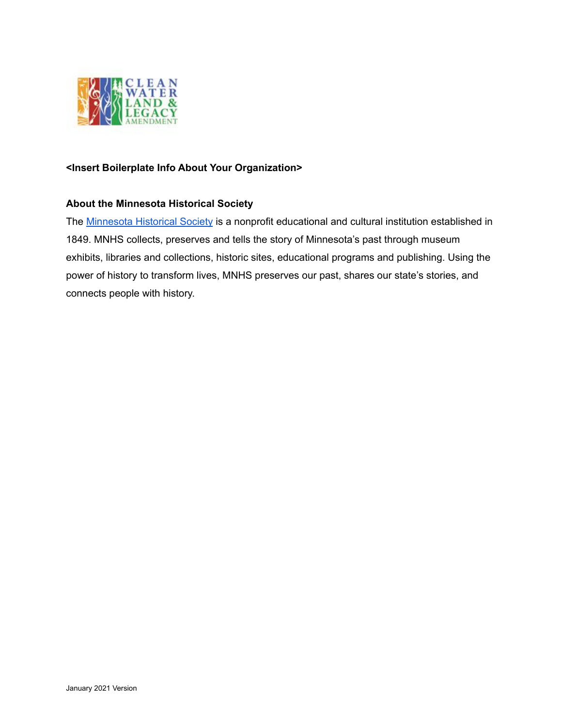

#### **<Insert Boilerplate Info About Your Organization>**

#### **About the Minnesota Historical Society**

The [Minnesota](https://www.mnhs.org/) Historical Society is a nonprofit educational and cultural institution established in 1849. MNHS collects, preserves and tells the story of Minnesota's past through museum exhibits, libraries and collections, historic sites, educational programs and publishing. Using the power of history to transform lives, MNHS preserves our past, shares our state's stories, and connects people with history.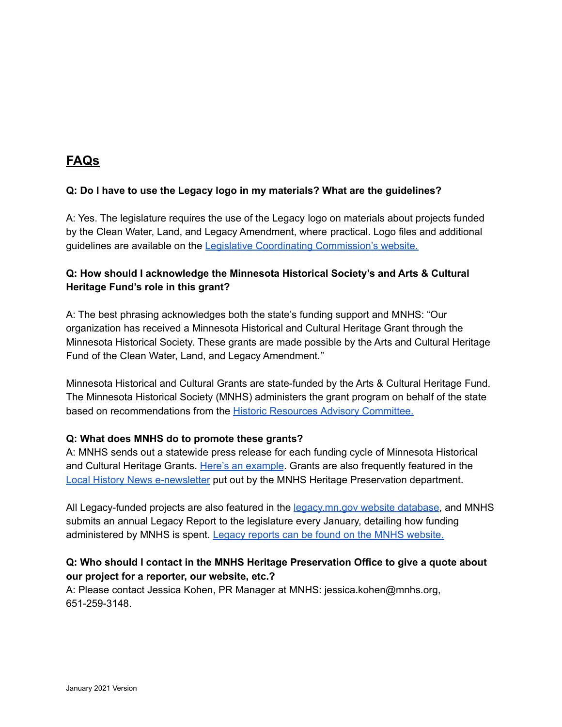# **FAQs**

### **Q: Do I have to use the Legacy logo in my materials? What are the guidelines?**

A: Yes. The legislature requires the use of the Legacy logo on materials about projects funded by the Clean Water, Land, and Legacy Amendment, where practical. Logo files and additional guidelines are available on the Legislative Coordinating [Commission's](https://www.legacy.mn.gov/legacy-logo) website.

## **Q: How should I acknowledge the Minnesota Historical Society's and Arts & Cultural Heritage Fund's role in this grant?**

A: The best phrasing acknowledges both the state's funding support and MNHS: "Our organization has received a Minnesota Historical and Cultural Heritage Grant through the Minnesota Historical Society. These grants are made possible by the Arts and Cultural Heritage Fund of the Clean Water, Land, and Legacy Amendment."

Minnesota Historical and Cultural Grants are state-funded by the Arts & Cultural Heritage Fund. The Minnesota Historical Society (MNHS) administers the grant program on behalf of the state based on recommendations from the Historic Resources Advisory [Committee.](http://www.mnhs.org/preservation/legacy-grants/advisory-committee)

#### **Q: What does MNHS do to promote these grants?**

A: MNHS sends out a statewide press release for each funding cycle of Minnesota Historical and Cultural Heritage Grants. Here's an [example](http://www.mnhs.org/media/news/11781). Grants are also frequently featured in the Local History News [e-newsletter](http://www.mnhs.org/preservation/localhistory/enews) put out by the MNHS Heritage Preservation department.

All Legacy-funded projects are also featured in the [legacy.mn.gov](https://www.legacy.mn.gov/) website database, and MNHS submits an annual Legacy Report to the legislature every January, detailing how funding administered by MNHS is spent. Legacy reports can be found on the MNHS [website.](http://www.mnhs.org/reports)

### **Q: Who should I contact in the MNHS Heritage Preservation Office to give a quote about our project for a reporter, our website, etc.?**

A: Please contact Jessica Kohen, PR Manager at MNHS: jessica.kohen@mnhs.org, 651-259-3148.